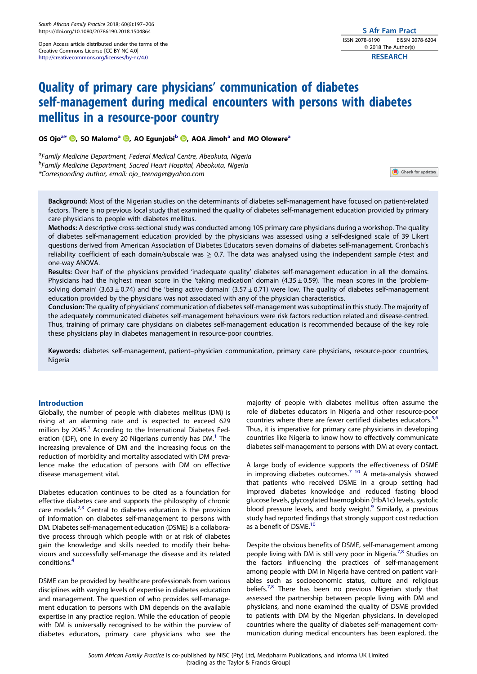<span id="page-0-0"></span>Open Access article distributed under the terms of the Creative Commons License [CC BY-NC 4.0] <http://creativecommons.org/licenses/by-nc/4.0>

# Quality of primary care physicians' communication of diabetes self-management during medical encounters with persons with diabetes mellitus in a resource-poor country

OS Ojo<sup>a\*</sup> <sup>(1)</sup>[,](http://orcid.org/0000-0002-8545-5105) SO Malomo<sup>a</sup> <sup>(1)</sup>, AO Egunjobi<sup>b</sup> (1), AOA Jimoh<sup>a</sup> and MO Olowere<sup>a</sup>

<sup>a</sup>Family Medicine Department, Federal Medical Centre, Abeokuta, Nigeria <sup>b</sup>Family Medicine Department, Sacred Heart Hospital, Abeokuta, Nigeria \*Corresponding author, email: [ojo\\_teenager@yahoo.com](mailto:ojo_teenager@yahoo.com)

Check for updates

Background: Most of the Nigerian studies on the determinants of diabetes self-management have focused on patient-related factors. There is no previous local study that examined the quality of diabetes self-management education provided by primary care physicians to people with diabetes mellitus.

Methods: A descriptive cross-sectional study was conducted among 105 primary care physicians during a workshop. The quality of diabetes self-management education provided by the physicians was assessed using a self-designed scale of 39 Likert questions derived from American Association of Diabetes Educators seven domains of diabetes self-management. Cronbach's reliability coefficient of each domain/subscale was  $\geq$  0.7. The data was analysed using the independent sample t-test and one-way ANOVA.

Results: Over half of the physicians provided 'inadequate quality' diabetes self-management education in all the domains. Physicians had the highest mean score in the 'taking medication' domain  $(4.35 \pm 0.59)$ . The mean scores in the 'problemsolving domain' (3.63  $\pm$  0.74) and the 'being active domain' (3.57  $\pm$  0.71) were low. The quality of diabetes self-management education provided by the physicians was not associated with any of the physician characteristics.

Conclusion: The quality of physicians' communication of diabetes self-management was suboptimal in this study. The majority of the adequately communicated diabetes self-management behaviours were risk factors reduction related and disease-centred. Thus, training of primary care physicians on diabetes self-management education is recommended because of the key role these physicians play in diabetes management in resource-poor countries.

Keywords: diabetes self-management, patient–physician communication, primary care physicians, resource-poor countries, Nigeria

# Introduction

Globally, the number of people with diabetes mellitus (DM) is rising at an alarming rate and is expected to exceed 629 million by  $2045<sup>1</sup>$  $2045<sup>1</sup>$  $2045<sup>1</sup>$  According to the International Diabetes Federation (IDF), one in every 20 Nigerians currently has  $DM<sup>1</sup>$  The increasing prevalence of DM and the increasing focus on the reduction of morbidity and mortality associated with DM prevalence make the education of persons with DM on effective disease management vital.

Diabetes education continues to be cited as a foundation for effective diabetes care and supports the philosophy of chronic care models. $2,3$  $2,3$  $2,3$  Central to diabetes education is the provision of information on diabetes self-management to persons with DM. Diabetes self-management education (DSME) is a collaborative process through which people with or at risk of diabetes gain the knowledge and skills needed to modify their behaviours and successfully self-manage the disease and its related conditions[.4](#page-6-0)

DSME can be provided by healthcare professionals from various disciplines with varying levels of expertise in diabetes education and management. The question of who provides self-management education to persons with DM depends on the available expertise in any practice region. While the education of people with DM is universally recognised to be within the purview of diabetes educators, primary care physicians who see the

majority of people with diabetes mellitus often assume the role of diabetes educators in Nigeria and other resource-poor countries where there are fewer certified diabetes educators.<sup>[5](#page-6-0),[6](#page-6-0)</sup> Thus, it is imperative for primary care physicians in developing countries like Nigeria to know how to effectively communicate diabetes self-management to persons with DM at every contact.

A large body of evidence supports the effectiveness of DSME in improving diabetes outcomes.<sup>7–10</sup> A meta-analysis showed that patients who received DSME in a group setting had improved diabetes knowledge and reduced fasting blood glucose levels, glycosylated haemoglobin (HbA1c) levels, systolic blood pressure levels, and body weight.<sup>9</sup> Similarly, a previous study had reported findings that strongly support cost reduction as a benefit of DSME.<sup>[10](#page-6-0)</sup>

Despite the obvious benefits of DSME, self-management among people living with DM is still very poor in Nigeria.<sup>[7,8](#page-6-0)</sup> Studies on the factors influencing the practices of self-management among people with DM in Nigeria have centred on patient variables such as socioeconomic status, culture and religious beliefs.<sup>[7](#page-6-0),[8](#page-6-0)</sup> There has been no previous Nigerian study that assessed the partnership between people living with DM and physicians, and none examined the quality of DSME provided to patients with DM by the Nigerian physicians. In developed countries where the quality of diabetes self-management communication during medical encounters has been explored, the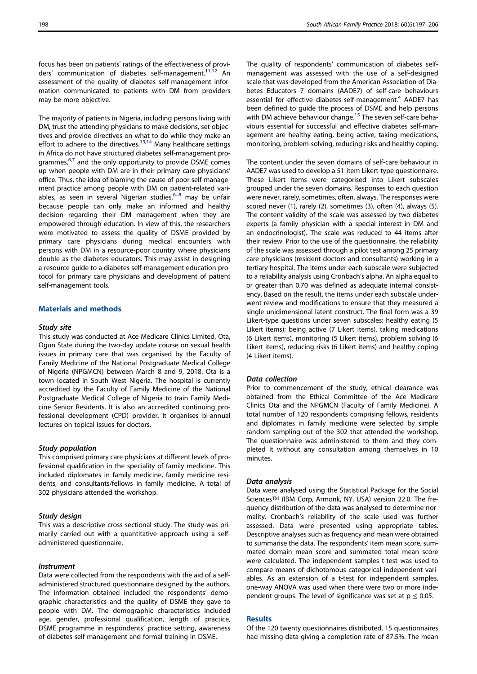<span id="page-1-0"></span>focus has been on patients' ratings of the effectiveness of providers' communication of diabetes self-management.<sup>11,12</sup> An assessment of the quality of diabetes self-management information communicated to patients with DM from providers may be more objective.

The majority of patients in Nigeria, including persons living with DM, trust the attending physicians to make decisions, set objectives and provide directives on what to do while they make an effort to adhere to the directives.<sup>[13](#page-6-0),[14](#page-6-0)</sup> Many healthcare settings in Africa do not have structured diabetes self-management pro-grammes,<sup>[6,7](#page-6-0)</sup> and the only opportunity to provide DSME comes up when people with DM are in their primary care physicians' office. Thus, the idea of blaming the cause of poor self-management practice among people with DM on patient-related variables, as seen in several Nigerian studies, $6-8$  may be unfair because people can only make an informed and healthy decision regarding their DM management when they are empowered through education. In view of this, the researchers were motivated to assess the quality of DSME provided by primary care physicians during medical encounters with persons with DM in a resource-poor country where physicians double as the diabetes educators. This may assist in designing a resource guide to a diabetes self-management education protocol for primary care physicians and development of patient self-management tools.

# Materials and methods

#### Study site

This study was conducted at Ace Medicare Clinics Limited, Ota, Ogun State during the two-day update course on sexual health issues in primary care that was organised by the Faculty of Family Medicine of the National Postgraduate Medical College of Nigeria (NPGMCN) between March 8 and 9, 2018. Ota is a town located in South West Nigeria. The hospital is currently accredited by the Faculty of Family Medicine of the National Postgraduate Medical College of Nigeria to train Family Medicine Senior Residents. It is also an accredited continuing professional development (CPD) provider. It organises bi-annual lectures on topical issues for doctors.

#### Study population

This comprised primary care physicians at different levels of professional qualification in the speciality of family medicine. This included diplomates in family medicine, family medicine residents, and consultants/fellows in family medicine. A total of 302 physicians attended the workshop.

#### Study design

This was a descriptive cross-sectional study. The study was primarily carried out with a quantitative approach using a selfadministered questionnaire.

## **Instrument**

Data were collected from the respondents with the aid of a selfadministered structured questionnaire designed by the authors. The information obtained included the respondents' demographic characteristics and the quality of DSME they gave to people with DM. The demographic characteristics included age, gender, professional qualification, length of practice, DSME programme in respondents' practice setting, awareness of diabetes self-management and formal training in DSME.

The quality of respondents' communication of diabetes selfmanagement was assessed with the use of a self-designed scale that was developed from the American Association of Diabetes Educators 7 domains (AADE7) of self-care behaviours essential for effective diabetes-self-management.<sup>[4](#page-6-0)</sup> AADE7 has been defined to guide the process of DSME and help persons with DM achieve behaviour change.<sup>15</sup> The seven self-care behaviours essential for successful and effective diabetes self-management are healthy eating, being active, taking medications, monitoring, problem-solving, reducing risks and healthy coping.

The content under the seven domains of self-care behaviour in AADE7 was used to develop a 51-item Likert-type questionnaire. These Likert items were categorised into Likert subscales grouped under the seven domains. Responses to each question were never, rarely, sometimes, often, always. The responses were scored never (1), rarely (2), sometimes (3), often (4), always (5). The content validity of the scale was assessed by two diabetes experts (a family physician with a special interest in DM and an endocrinologist). The scale was reduced to 44 items after their review. Prior to the use of the questionnaire, the reliability of the scale was assessed through a pilot test among 25 primary care physicians (resident doctors and consultants) working in a tertiary hospital. The items under each subscale were subjected to a reliability analysis using Cronbach's alpha. An alpha equal to or greater than 0.70 was defined as adequate internal consistency. Based on the result, the items under each subscale underwent review and modifications to ensure that they measured a single unidimensional latent construct. The final form was a 39 Likert-type questions under seven subscales: healthy eating (5 Likert items); being active (7 Likert items), taking medications (6 Likert items), monitoring (5 Likert items), problem solving (6 Likert items), reducing risks (6 Likert items) and healthy coping (4 Likert items).

#### Data collection

Prior to commencement of the study, ethical clearance was obtained from the Ethical Committee of the Ace Medicare Clinics Ota and the NPGMCN (Faculty of Family Medicine). A total number of 120 respondents comprising fellows, residents and diplomates in family medicine were selected by simple random sampling out of the 302 that attended the workshop. The questionnaire was administered to them and they completed it without any consultation among themselves in 10 minutes.

#### Data analysis

Data were analysed using the Statistical Package for the Social Sciences™ (IBM Corp, Armonk, NY, USA) version 22.0. The frequency distribution of the data was analysed to determine normality. Cronbach's reliability of the scale used was further assessed. Data were presented using appropriate tables. Descriptive analyses such as frequency and mean were obtained to summarise the data. The respondents' item mean score, summated domain mean score and summated total mean score were calculated. The independent samples t-test was used to compare means of dichotomous categorical independent variables. As an extension of a t-test for independent samples, one-way ANOVA was used when there were two or more independent groups. The level of significance was set at  $p \le 0.05$ .

#### **Results**

Of the 120 twenty questionnaires distributed, 15 questionnaires had missing data giving a completion rate of 87.5%. The mean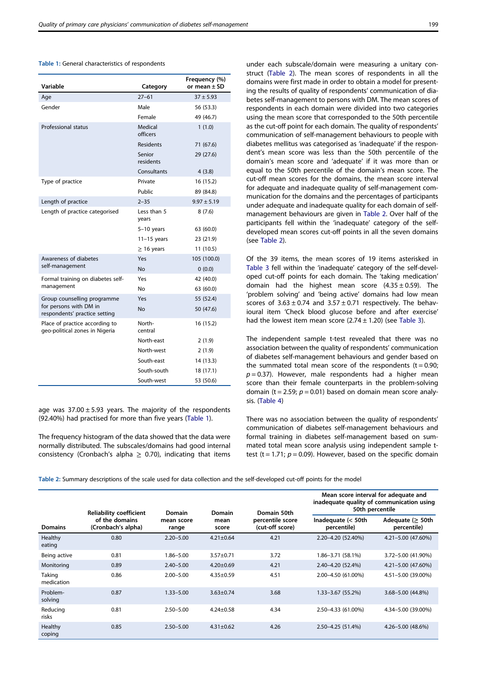| $27 - 61$<br>$37 + 5.93$<br>Age<br>Gender<br>Male<br>56 (53.3)<br>Female<br>49 (46.7)<br>Professional status<br>Medical<br>1(1.0)<br>officers<br><b>Residents</b><br>71 (67.6)<br>Senior<br>29 (27.6)<br>residents<br>Consultants<br>4(3.8)<br>Private<br>Type of practice<br>16 (15.2)<br>Public<br>89 (84.8)<br>$2 - 35$<br>$9.97 \pm 5.19$<br>Length of practice<br>Less than 5<br>Length of practice categorised<br>8(7.6)<br>years<br>5-10 years<br>63 (60.0)<br>$11-15$ years<br>23 (21.9)<br>11 (10.5)<br>$\geq$ 16 years<br>Awareness of diabetes<br>Yes<br>105 (100.0)<br>self-management<br><b>No</b><br>0(0.0)<br>Yes<br>Formal training on diabetes self-<br>42 (40.0)<br>management<br>No<br>63 (60.0)<br>Group counselling programme<br>Yes<br>55 (52.4)<br>for persons with DM in<br><b>No</b><br>50 (47.6)<br>respondents' practice setting<br>North-<br>Place of practice according to<br>16 (15.2)<br>geo-political zones in Nigeria<br>central<br>North-east<br>2(1.9) | Variable | Category | Frequency (%)<br>or mean ± SD |
|-------------------------------------------------------------------------------------------------------------------------------------------------------------------------------------------------------------------------------------------------------------------------------------------------------------------------------------------------------------------------------------------------------------------------------------------------------------------------------------------------------------------------------------------------------------------------------------------------------------------------------------------------------------------------------------------------------------------------------------------------------------------------------------------------------------------------------------------------------------------------------------------------------------------------------------------------------------------------------------------|----------|----------|-------------------------------|
|                                                                                                                                                                                                                                                                                                                                                                                                                                                                                                                                                                                                                                                                                                                                                                                                                                                                                                                                                                                           |          |          |                               |
|                                                                                                                                                                                                                                                                                                                                                                                                                                                                                                                                                                                                                                                                                                                                                                                                                                                                                                                                                                                           |          |          |                               |
|                                                                                                                                                                                                                                                                                                                                                                                                                                                                                                                                                                                                                                                                                                                                                                                                                                                                                                                                                                                           |          |          |                               |
|                                                                                                                                                                                                                                                                                                                                                                                                                                                                                                                                                                                                                                                                                                                                                                                                                                                                                                                                                                                           |          |          |                               |
|                                                                                                                                                                                                                                                                                                                                                                                                                                                                                                                                                                                                                                                                                                                                                                                                                                                                                                                                                                                           |          |          |                               |
|                                                                                                                                                                                                                                                                                                                                                                                                                                                                                                                                                                                                                                                                                                                                                                                                                                                                                                                                                                                           |          |          |                               |
|                                                                                                                                                                                                                                                                                                                                                                                                                                                                                                                                                                                                                                                                                                                                                                                                                                                                                                                                                                                           |          |          |                               |
|                                                                                                                                                                                                                                                                                                                                                                                                                                                                                                                                                                                                                                                                                                                                                                                                                                                                                                                                                                                           |          |          |                               |
|                                                                                                                                                                                                                                                                                                                                                                                                                                                                                                                                                                                                                                                                                                                                                                                                                                                                                                                                                                                           |          |          |                               |
|                                                                                                                                                                                                                                                                                                                                                                                                                                                                                                                                                                                                                                                                                                                                                                                                                                                                                                                                                                                           |          |          |                               |
|                                                                                                                                                                                                                                                                                                                                                                                                                                                                                                                                                                                                                                                                                                                                                                                                                                                                                                                                                                                           |          |          |                               |
|                                                                                                                                                                                                                                                                                                                                                                                                                                                                                                                                                                                                                                                                                                                                                                                                                                                                                                                                                                                           |          |          |                               |
|                                                                                                                                                                                                                                                                                                                                                                                                                                                                                                                                                                                                                                                                                                                                                                                                                                                                                                                                                                                           |          |          |                               |
|                                                                                                                                                                                                                                                                                                                                                                                                                                                                                                                                                                                                                                                                                                                                                                                                                                                                                                                                                                                           |          |          |                               |
|                                                                                                                                                                                                                                                                                                                                                                                                                                                                                                                                                                                                                                                                                                                                                                                                                                                                                                                                                                                           |          |          |                               |
|                                                                                                                                                                                                                                                                                                                                                                                                                                                                                                                                                                                                                                                                                                                                                                                                                                                                                                                                                                                           |          |          |                               |
|                                                                                                                                                                                                                                                                                                                                                                                                                                                                                                                                                                                                                                                                                                                                                                                                                                                                                                                                                                                           |          |          |                               |
|                                                                                                                                                                                                                                                                                                                                                                                                                                                                                                                                                                                                                                                                                                                                                                                                                                                                                                                                                                                           |          |          |                               |
|                                                                                                                                                                                                                                                                                                                                                                                                                                                                                                                                                                                                                                                                                                                                                                                                                                                                                                                                                                                           |          |          |                               |
|                                                                                                                                                                                                                                                                                                                                                                                                                                                                                                                                                                                                                                                                                                                                                                                                                                                                                                                                                                                           |          |          |                               |
|                                                                                                                                                                                                                                                                                                                                                                                                                                                                                                                                                                                                                                                                                                                                                                                                                                                                                                                                                                                           |          |          |                               |
|                                                                                                                                                                                                                                                                                                                                                                                                                                                                                                                                                                                                                                                                                                                                                                                                                                                                                                                                                                                           |          |          |                               |
| North-west<br>2(1.9)                                                                                                                                                                                                                                                                                                                                                                                                                                                                                                                                                                                                                                                                                                                                                                                                                                                                                                                                                                      |          |          |                               |
| South-east<br>14 (13.3)                                                                                                                                                                                                                                                                                                                                                                                                                                                                                                                                                                                                                                                                                                                                                                                                                                                                                                                                                                   |          |          |                               |
| South-south<br>18 (17.1)                                                                                                                                                                                                                                                                                                                                                                                                                                                                                                                                                                                                                                                                                                                                                                                                                                                                                                                                                                  |          |          |                               |
| South-west<br>53 (50.6)                                                                                                                                                                                                                                                                                                                                                                                                                                                                                                                                                                                                                                                                                                                                                                                                                                                                                                                                                                   |          |          |                               |

Table 1: General characteristics of respondents

age was  $37.00 \pm 5.93$  years. The majority of the respondents (92.40%) had practised for more than five years (Table 1).

The frequency histogram of the data showed that the data were normally distributed. The subscales/domains had good internal consistency (Cronbach's alpha  $\geq$  0.70), indicating that items

under each subscale/domain were measuring a unitary construct (Table 2). The mean scores of respondents in all the domains were first made in order to obtain a model for presenting the results of quality of respondents' communication of diabetes self-management to persons with DM. The mean scores of respondents in each domain were divided into two categories using the mean score that corresponded to the 50th percentile as the cut-off point for each domain. The quality of respondents' communication of self-management behaviours to people with diabetes mellitus was categorised as 'inadequate' if the respondent's mean score was less than the 50th percentile of the domain's mean score and 'adequate' if it was more than or equal to the 50th percentile of the domain's mean score. The cut-off mean scores for the domains, the mean score interval for adequate and inadequate quality of self-management communication for the domains and the percentages of participants under adequate and inadequate quality for each domain of selfmanagement behaviours are given in Table 2. Over half of the participants fell within the 'inadequate' category of the selfdeveloped mean scores cut-off points in all the seven domains (see Table 2).

Of the 39 items, the mean scores of 19 items asterisked in [Table 3](#page-3-0) fell within the 'inadequate' category of the self-developed cut-off points for each domain. The 'taking medication' domain had the highest mean score  $(4.35 \pm 0.59)$ . The 'problem solving' and 'being active' domains had low mean scores of  $3.63 \pm 0.74$  and  $3.57 \pm 0.71$  respectively. The behavioural item 'Check blood glucose before and after exercise' had the lowest item mean score  $(2.74 \pm 1.20)$  (see [Table 3](#page-3-0)).

The independent sample t-test revealed that there was no association between the quality of respondents' communication of diabetes self-management behaviours and gender based on the summated total mean score of the respondents  $(t = 0.90;$  $p = 0.37$ ). However, male respondents had a higher mean score than their female counterparts in the problem-solving domain (t = 2.59;  $p = 0.01$ ) based on domain mean score analysis. ([Table 4](#page-4-0))

There was no association between the quality of respondents' communication of diabetes self-management behaviours and formal training in diabetes self-management based on summated total mean score analysis using independent sample ttest (t = 1.71;  $p = 0.09$ ). However, based on the specific domain

Table 2: Summary descriptions of the scale used for data collection and the self-developed cut-off points for the model

|                      | <b>Reliability coefficient</b>       | <b>Domain</b>       | <b>Domain</b>   | Domain 50th                         | Mean score interval for adequate and<br>inadequate quality of communication using<br>50th percentile |                                       |
|----------------------|--------------------------------------|---------------------|-----------------|-------------------------------------|------------------------------------------------------------------------------------------------------|---------------------------------------|
| <b>Domains</b>       | of the domains<br>(Cronbach's alpha) | mean score<br>range | mean<br>score   | percentile score<br>(cut-off score) | Inadequate $(< 50$ th<br>percentile)                                                                 | Adequate ( $\geq$ 50th<br>percentile) |
| Healthy<br>eating    | 0.80                                 | $2.20 - 5.00$       | $4.21 \pm 0.64$ | 4.21                                | 2.20-4.20 (52.40%)                                                                                   | 4.21-5.00 (47.60%)                    |
| Being active         | 0.81                                 | $1.86 - 5.00$       | $3.57 + 0.71$   | 3.72                                | 1.86-3.71 (58.1%)                                                                                    | 3.72-5.00 (41.90%)                    |
| Monitoring           | 0.89                                 | $2.40 - 5.00$       | $4.20 + 0.69$   | 4.21                                | 2.40-4.20 (52.4%)                                                                                    | 4.21-5.00 (47.60%)                    |
| Taking<br>medication | 0.86                                 | $2.00 - 5.00$       | $4.35 \pm 0.59$ | 4.51                                | 2.00-4.50 (61.00%)                                                                                   | 4.51-5.00 (39.00%)                    |
| Problem-<br>solving  | 0.87                                 | $1.33 - 5.00$       | $3.63 \pm 0.74$ | 3.68                                | 1.33-3.67 (55.2%)                                                                                    | 3.68-5.00 (44.8%)                     |
| Reducing<br>risks    | 0.81                                 | $2.50 - 5.00$       | $4.24 \pm 0.58$ | 4.34                                | 2.50-4.33 (61.00%)                                                                                   | 4.34-5.00 (39.00%)                    |
| Healthy<br>coping    | 0.85                                 | $2.50 - 5.00$       | $4.31 \pm 0.62$ | 4.26                                | 2.50-4.25 (51.4%)                                                                                    | 4.26-5.00 (48.6%)                     |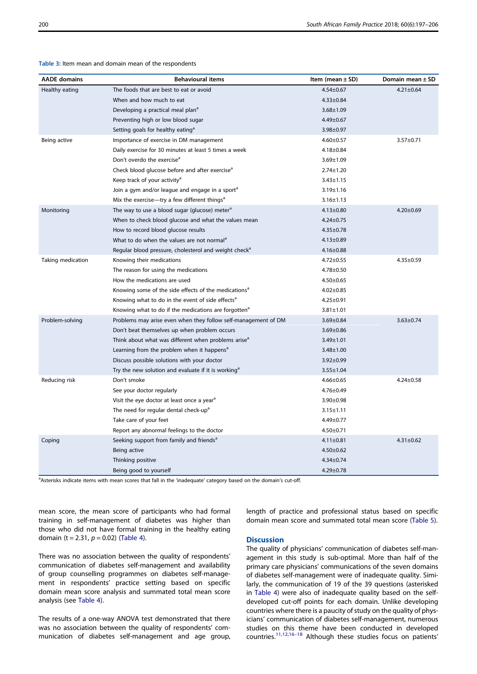| <b>AADE</b> domains | <b>Behavioural items</b>                                          | Item (mean $\pm$ SD) | Domain mean $\pm$ SD |
|---------------------|-------------------------------------------------------------------|----------------------|----------------------|
| Healthy eating      | The foods that are best to eat or avoid                           | $4.54 \pm 0.67$      | $4.21 \pm 0.64$      |
|                     | When and how much to eat                                          | $4.33 \pm 0.84$      |                      |
|                     | Developing a practical meal plan <sup>a</sup>                     | $3.68 \pm 1.09$      |                      |
|                     | Preventing high or low blood sugar                                | 4.49±0.67            |                      |
|                     | Setting goals for healthy eating <sup>a</sup>                     | 3.98±0.97            |                      |
| Being active        | Importance of exercise in DM management                           | $4.60 \pm 0.57$      | 3.57±0.71            |
|                     | Daily exercise for 30 minutes at least 5 times a week             | $4.18 \pm 0.84$      |                      |
|                     | Don't overdo the exercise <sup>a</sup>                            | $3.69 \pm 1.09$      |                      |
|                     | Check blood glucose before and after exercise <sup>a</sup>        | $2.74 \pm 1.20$      |                      |
|                     | Keep track of your activity <sup>a</sup>                          | $3.43 \pm 1.15$      |                      |
|                     | Join a gym and/or league and engage in a sport <sup>a</sup>       | $3.19 \pm 1.16$      |                      |
|                     | Mix the exercise—try a few different things <sup>a</sup>          | $3.16 \pm 1.13$      |                      |
| Monitoring          | The way to use a blood sugar (glucose) meter <sup>a</sup>         | $4.13 \pm 0.80$      | $4.20 \pm 0.69$      |
|                     | When to check blood glucose and what the values mean              | $4.24 \pm 0.75$      |                      |
|                     | How to record blood glucose results                               | $4.35 \pm 0.78$      |                      |
|                     | What to do when the values are not normal <sup>a</sup>            | $4.13 \pm 0.89$      |                      |
|                     | Regular blood pressure, cholesterol and weight check <sup>a</sup> | $4.16 \pm 0.88$      |                      |
| Taking medication   | Knowing their medications                                         | $4.72 \pm 0.55$      | $4.35 \pm 0.59$      |
|                     | The reason for using the medications                              | $4.78 \pm 0.50$      |                      |
|                     | How the medications are used                                      | $4.50 \pm 0.65$      |                      |
|                     | Knowing some of the side effects of the medications <sup>a</sup>  | $4.02 \pm 0.85$      |                      |
|                     | Knowing what to do in the event of side effects <sup>a</sup>      | $4.25 \pm 0.91$      |                      |
|                     | Knowing what to do if the medications are forgotten <sup>a</sup>  | $3.81 \pm 1.01$      |                      |
| Problem-solving     | Problems may arise even when they follow self-management of DM    | $3.69 \pm 0.84$      | $3.63 \pm 0.74$      |
|                     | Don't beat themselves up when problem occurs                      | $3.69 \pm 0.86$      |                      |
|                     | Think about what was different when problems arise <sup>a</sup>   | 3.49±1.01            |                      |
|                     | Learning from the problem when it happens <sup>a</sup>            | $3.48 \pm 1.00$      |                      |
|                     | Discuss possible solutions with your doctor                       | $3.92 \pm 0.99$      |                      |
|                     | Try the new solution and evaluate if it is working <sup>a</sup>   | $3.55 \pm 1.04$      |                      |
| Reducing risk       | Don't smoke                                                       | $4.66 \pm 0.65$      | $4.24 \pm 0.58$      |
|                     | See your doctor regularly                                         | $4.76 \pm 0.49$      |                      |
|                     | Visit the eye doctor at least once a year <sup>a</sup>            | $3.90 \pm 0.98$      |                      |
|                     | The need for regular dental check-up <sup>a</sup>                 | $3.15 \pm 1.11$      |                      |
|                     | Take care of your feet                                            | 4.49±0.77            |                      |
|                     | Report any abnormal feelings to the doctor                        | $4.50 \pm 0.71$      |                      |
| Coping              | Seeking support from family and friends <sup>a</sup>              | $4.11 \pm 0.81$      | $4.31 \pm 0.62$      |
|                     | Being active                                                      | $4.50 \pm 0.62$      |                      |
|                     | Thinking positive                                                 | 4.34±0.74            |                      |
|                     | Being good to yourself                                            | $4.29 \pm 0.78$      |                      |

<span id="page-3-0"></span>Table 3: Item mean and domain mean of the respondents

<sup>a</sup>Asterisks indicate items with mean scores that fall in the 'inadequate' category based on the domain's cut-off.

mean score, the mean score of participants who had formal training in self-management of diabetes was higher than those who did not have formal training in the healthy eating domain (t = 2.31,  $p = 0.02$ ) ([Table 4\)](#page-4-0).

There was no association between the quality of respondents' communication of diabetes self-management and availability of group counselling programmes on diabetes self-management in respondents' practice setting based on specific domain mean score analysis and summated total mean score analysis (see [Table 4](#page-4-0)).

The results of a one-way ANOVA test demonstrated that there was no association between the quality of respondents' communication of diabetes self-management and age group, length of practice and professional status based on specific domain mean score and summated total mean score [\(Table 5\)](#page-5-0).

# **Discussion**

The quality of physicians' communication of diabetes self-management in this study is sub-optimal. More than half of the primary care physicians' communications of the seven domains of diabetes self-management were of inadequate quality. Similarly, the communication of 19 of the 39 questions (asterisked in [Table 4](#page-4-0)) were also of inadequate quality based on the selfdeveloped cut-off points for each domain. Unlike developing countries where there is a paucity of study on the quality of physicians' communication of diabetes self-management, numerous studies on this theme have been conducted in developed countries.[11,12](#page-6-0),16–<sup>18</sup> Although these studies focus on patients'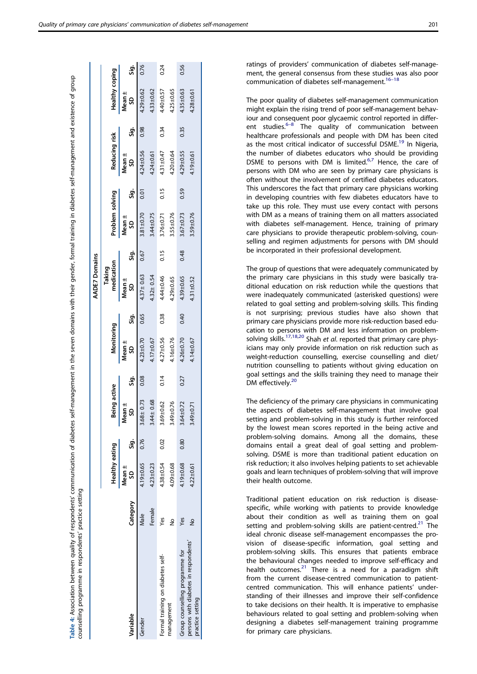<span id="page-4-0"></span>

|                                                           |               |                 |      |                 |      |                     |      | <b>AADE7 Domains</b> |      |                 |      |                    |      |                 |      |
|-----------------------------------------------------------|---------------|-----------------|------|-----------------|------|---------------------|------|----------------------|------|-----------------|------|--------------------|------|-----------------|------|
|                                                           |               |                 |      |                 |      |                     |      | Taking               |      |                 |      |                    |      |                 |      |
|                                                           |               | Healthy eating  |      | Being active    |      | Monitoring          |      | medication           |      | Problem solving |      | Reducing risk      |      | Healthy coping  |      |
| ariable                                                   | Category      | Mean ±<br>g     | Sig. | Mean ±<br>S     | Sig. | Vlean ±<br><u>ទ</u> | Sig. | Mean ±<br>S          | នី   | Mean ±<br>g     | Sig. | Mean ±<br><u>ទ</u> | ູ່ສຸ | Mean ±<br>g     | Sig. |
| Gender                                                    | Male          | 4.19±0.65       | 0.76 | $3.68 \pm 0.73$ | 0.08 | $4.23 \pm 0.70$     | 0.65 | $4.37 \pm 0.63$      | 0.67 | $3.81 + 0.70$   | 0.01 | 4.24±0.56          | 0.98 | 4.29±0.62       | 0.76 |
|                                                           | Female        | $4.23 \pm 0.23$ |      | 3.44±0.68       |      | $4.17 \pm 0.67$     |      | $4.32 \pm 0.54$      |      | $3.44 \pm 0.75$ |      | $4.24 \pm 0.61$    |      | $4.33 + 0.62$   |      |
| Formal training on diabetes self-                         | Yes           | $4.38 + 0.54$   | 0.02 | 3.69±0.62       | 0.14 | $4.27 \pm 0.56$     | 0.38 | 4.44±0.46            | 0.15 | $3.76 + 0.71$   | 0.15 | $4.31 \pm 0.47$    | 0.34 | $4.40 \pm 0.57$ | 0.24 |
| nanagement                                                | $\tilde{z}$   | 4.09±0.68       |      | 3.49±0.76       |      | $.16 + 0.76$        |      | 4.29±0.65            |      | $3.55 \pm 0.76$ |      | $4.20 + 0.64$      |      | $4.25 \pm 0.65$ |      |
| Group counselling programme for                           | Yes           | 4.19±0.68       | 0.80 | 3.64±0.72       | 0.27 | $4.26 \pm 0.70$     | 0.40 | 4.39±0.65            | 0.48 | $3.67 + 0.73$   | 0.59 | $4.29 \pm 0.55$    | 0.35 | $4.35 \pm 0.63$ | 0.56 |
| persons with diabetes in respondents'<br>practice setting | $\frac{1}{2}$ | $4.22 \pm 0.61$ |      | 3.49±0.71       |      | 4.14±0.67           |      | $4.31 \pm 0.52$      |      | 3.59±0.76       |      | 1.19±0.61          |      | $4.28 + 0.61$   |      |
|                                                           |               |                 |      |                 |      |                     |      |                      |      |                 |      |                    |      |                 |      |

Table 4: Association between quality of respondents' communication of diabetes self-management in the seven domains with their gender, formal training in diabetes self-management and existence of group

respondents' communication of diabetes self-management in the seven domains with their gender, formal training in diabetes self-management and existence of group

counselling programme in respondents' practice setting

counselling programme in respondents' practice setting

Table 4: Association between quality of

ratings of providers' communication of diabetes self-management, the general consensus from these studies was also poor communication of diabetes self-management.<sup>16-18</sup>

The poor quality of diabetes self-management communication might explain the rising trend of poor self-management behaviour and consequent poor glycaemic control reported in different studies. $6-8$  The quality of communication between healthcare professionals and people with DM has been cited as the most critical indicator of successful DSME.<sup>[19](#page-6-0)</sup> In Nigeria, the number of diabetes educators who should be providing DSME to persons with DM is limited. $6.7$  Hence, the care of persons with DM who are seen by primary care physicians is often without the involvement of certified diabetes educators. This underscores the fact that primary care physicians working in developing countries with few diabetes educators have to take up this role. They must use every contact with persons with DM as a means of training them on all matters associated with diabetes self-management. Hence, training of primary care physicians to provide therapeutic problem-solving, counselling and regimen adjustments for persons with DM should be incorporated in their professional development.

The group of questions that were adequately communicated by the primary care physicians in this study were basically traditional education on risk reduction while the questions that were inadequately communicated (asterisked questions) were related to goal setting and problem-solving skills. This finding is not surprising; previous studies have also shown that primary care physicians provide more risk-reduction based education to persons with DM and less information on problem-solving skills.<sup>[17](#page-6-0),[18](#page-6-0),[20](#page-6-0)</sup> Shah et al. reported that primary care physicians may only provide information on risk reduction such as weight-reduction counselling, exercise counselling and diet/ nutrition counselling to patients without giving education on goal settings and the skills training they need to manage their DM effectively.<sup>[20](#page-6-0)</sup>

The deficiency of the primary care physicians in communicating the aspects of diabetes self-management that involve goal setting and problem-solving in this study is further reinforced by the lowest mean scores reported in the being active and problem-solving domains. Among all the domains, these domains entail a great deal of goal setting and problemsolving. DSME is more than traditional patient education on risk reduction; it also involves helping patients to set achievable goals and learn techniques of problem-solving that will improve their health outcome.

Traditional patient education on risk reduction is diseasespecific, while working with patients to provide knowledge about their condition as well as training them on goal setting and problem-solving skills are patient-centred.<sup>[21](#page-6-0)</sup> The ideal chronic disease self-management encompasses the provision of disease-specific information, goal setting and problem-solving skills. This ensures that patients embrace the behavioural changes needed to improve self-efficacy and health outcomes.<sup>[21](#page-6-0)</sup> There is a need for a paradigm shift from the current disease-centred communication to patientcentred communication. This will enhance patients' understanding of their illnesses and improve their self-confidence to take decisions on their health. It is imperative to emphasise behaviours related to goal setting and problem-solving when designing a diabetes self-management training programme for primary care physicians.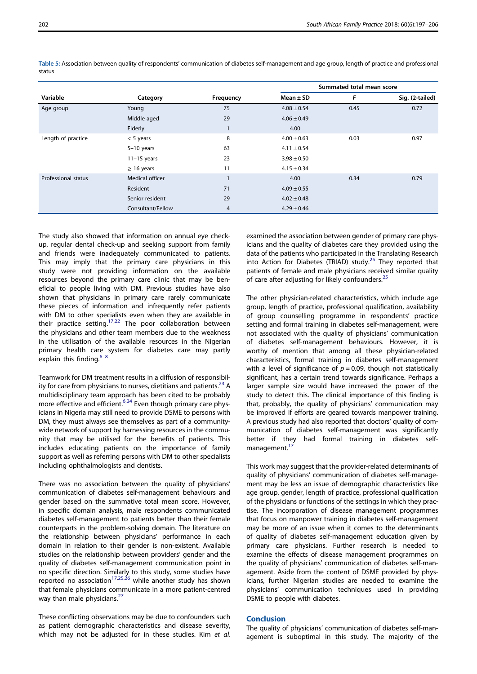|                     |                   |           |                 | Summated total mean score |                 |
|---------------------|-------------------|-----------|-----------------|---------------------------|-----------------|
| Variable            | Category          | Frequency | Mean $\pm$ SD   | F                         | Sig. (2-tailed) |
| Age group           | Young             | 75        | $4.08 \pm 0.54$ | 0.45                      | 0.72            |
|                     | Middle aged       | 29        | $4.06 \pm 0.49$ |                           |                 |
|                     | Elderly           |           | 4.00            |                           |                 |
| Length of practice  | $<$ 5 years       | 8         | $4.00 \pm 0.63$ | 0.03                      | 0.97            |
|                     | $5-10$ years      | 63        | $4.11 \pm 0.54$ |                           |                 |
|                     | $11-15$ years     | 23        | $3.98 \pm 0.50$ |                           |                 |
|                     | $\geq$ 16 years   | 11        | $4.15 \pm 0.34$ |                           |                 |
| Professional status | Medical officer   |           | 4.00            | 0.34                      | 0.79            |
|                     | Resident          | 71        | $4.09 \pm 0.55$ |                           |                 |
|                     | Senior resident   | 29        | $4.02 \pm 0.48$ |                           |                 |
|                     | Consultant/Fellow | 4         | $4.29 \pm 0.46$ |                           |                 |

<span id="page-5-0"></span>Table 5: Association between quality of respondents' communication of diabetes self-management and age group, length of practice and professional status

The study also showed that information on annual eye checkup, regular dental check-up and seeking support from family and friends were inadequately communicated to patients. This may imply that the primary care physicians in this study were not providing information on the available resources beyond the primary care clinic that may be beneficial to people living with DM. Previous studies have also shown that physicians in primary care rarely communicate these pieces of information and infrequently refer patients with DM to other specialists even when they are available in their practice setting.<sup>[17,](#page-6-0)[22](#page-7-0)</sup> The poor collaboration between the physicians and other team members due to the weakness in the utilisation of the available resources in the Nigerian primary health care system for diabetes care may partly explain this finding. $6-8$ 

Teamwork for DM treatment results in a diffusion of responsibility for care from physicians to nurses, dietitians and patients. $^{23}$  $^{23}$  $^{23}$  A multidisciplinary team approach has been cited to be probably more effective and efficient.<sup>[6,](#page-6-0)[24](#page-7-0)</sup> Even though primary care physicians in Nigeria may still need to provide DSME to persons with DM, they must always see themselves as part of a communitywide network of support by harnessing resources in the community that may be utilised for the benefits of patients. This includes educating patients on the importance of family support as well as referring persons with DM to other specialists including ophthalmologists and dentists.

There was no association between the quality of physicians' communication of diabetes self-management behaviours and gender based on the summative total mean score. However, in specific domain analysis, male respondents communicated diabetes self-management to patients better than their female counterparts in the problem-solving domain. The literature on the relationship between physicians' performance in each domain in relation to their gender is non-existent. Available studies on the relationship between providers' gender and the quality of diabetes self-management communication point in no specific direction. Similarly to this study, some studies have reported no association<sup>[17](#page-6-0)[,25](#page-7-0),[26](#page-7-0)</sup> while another study has shown that female physicians communicate in a more patient-centred way than male physicians.<sup>27</sup>

These conflicting observations may be due to confounders such as patient demographic characteristics and disease severity, which may not be adjusted for in these studies. Kim et al. examined the association between gender of primary care physicians and the quality of diabetes care they provided using the data of the patients who participated in the Translating Research into Action for Diabetes (TRIAD) study.<sup>[25](#page-7-0)</sup> They reported that patients of female and male physicians received similar quality of care after adjusting for likely confounders.<sup>[25](#page-7-0)</sup>

The other physician-related characteristics, which include age group, length of practice, professional qualification, availability of group counselling programme in respondents' practice setting and formal training in diabetes self-management, were not associated with the quality of physicians' communication of diabetes self-management behaviours. However, it is worthy of mention that among all these physician-related characteristics, formal training in diabetes self-management with a level of significance of  $p = 0.09$ , though not statistically significant, has a certain trend towards significance. Perhaps a larger sample size would have increased the power of the study to detect this. The clinical importance of this finding is that, probably, the quality of physicians' communication may be improved if efforts are geared towards manpower training. A previous study had also reported that doctors' quality of communication of diabetes self-management was significantly better if they had formal training in diabetes self-management.<sup>[17](#page-6-0)</sup>

This work may suggest that the provider-related determinants of quality of physicians' communication of diabetes self-management may be less an issue of demographic characteristics like age group, gender, length of practice, professional qualification of the physicians or functions of the settings in which they practise. The incorporation of disease management programmes that focus on manpower training in diabetes self-management may be more of an issue when it comes to the determinants of quality of diabetes self-management education given by primary care physicians. Further research is needed to examine the effects of disease management programmes on the quality of physicians' communication of diabetes self-management. Aside from the content of DSME provided by physicians, further Nigerian studies are needed to examine the physicians' communication techniques used in providing DSME to people with diabetes.

#### Conclusion

The quality of physicians' communication of diabetes self-management is suboptimal in this study. The majority of the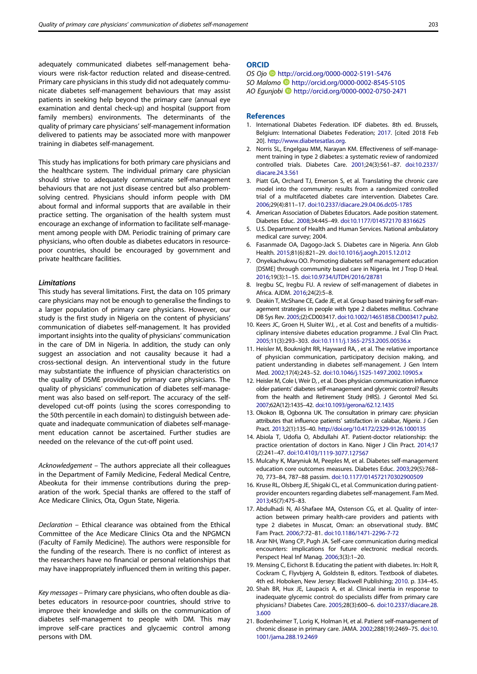<span id="page-6-0"></span>adequately communicated diabetes self-management behaviours were risk-factor reduction related and disease-centred. Primary care physicians in this study did not adequately communicate diabetes self-management behaviours that may assist patients in seeking help beyond the primary care (annual eye examination and dental check-up) and hospital (support from family members) environments. The determinants of the quality of primary care physicians' self-management information delivered to patients may be associated more with manpower training in diabetes self-management.

This study has implications for both primary care physicians and the healthcare system. The individual primary care physician should strive to adequately communicate self-management behaviours that are not just disease centred but also problemsolving centred. Physicians should inform people with DM about formal and informal supports that are available in their practice setting. The organisation of the health system must encourage an exchange of information to facilitate self-management among people with DM. Periodic training of primary care physicians, who often double as diabetes educators in resourcepoor countries, should be encouraged by government and private healthcare facilities.

#### Limitations

This study has several limitations. First, the data on 105 primary care physicians may not be enough to generalise the findings to a larger population of primary care physicians. However, our study is the first study in Nigeria on the content of physicians' communication of diabetes self-management. It has provided important insights into the quality of physicians' communication in the care of DM in Nigeria. In addition, the study can only suggest an association and not causality because it had a cross-sectional design. An interventional study in the future may substantiate the influence of physician characteristics on the quality of DSME provided by primary care physicians. The quality of physicians' communication of diabetes self-management was also based on self-report. The accuracy of the selfdeveloped cut-off points (using the scores corresponding to the 50th percentile in each domain) to distinguish between adequate and inadequate communication of diabetes self-management education cannot be ascertained. Further studies are needed on the relevance of the cut-off point used.

Acknowledgement – The authors appreciate all their colleagues in the Department of Family Medicine, Federal Medical Centre, Abeokuta for their immense contributions during the preparation of the work. Special thanks are offered to the staff of Ace Medicare Clinics, Ota, Ogun State, Nigeria.

Declaration – Ethical clearance was obtained from the Ethical Committee of the Ace Medicare Clinics Ota and the NPGMCN (Faculty of Family Medicine). The authors were responsible for the funding of the research. There is no conflict of interest as the researchers have no financial or personal relationships that may have inappropriately influenced them in writing this paper.

Key messages – Primary care physicians, who often double as diabetes educators in resource-poor countries, should strive to improve their knowledge and skills on the communication of diabetes self-management to people with DM. This may improve self-care practices and glycaemic control among persons with DM.

## **ORCID**

OS Ojo <http://orcid.org/0000-0002-5191-5476>

- SO Malomo **b** <http://orcid.org/0000-0002-8545-5105>
- AO Egunjobi <http://orcid.org/0000-0002-0750-2471>

#### **References**

- 1. International Diabetes Federation. IDF diabetes. 8th ed. Brussels, Belgium: International Diabetes Federation; [2017.](#page-0-0) [cited 2018 Feb 20]. [http://www.diabetesatlas.org.](http://www.diabetesatlas.org)
- 2. Norris SL, Engelgau MM, Narayan KM. Effectiveness of self-management training in type 2 diabetes: a systematic review of randomized controlled trials. Diabetes Care. [2001;](#page-0-0)24(3):561–87. [doi:10.2337/](https://doi.org/10.2337/diacare.24.3.561) [diacare.24.3.561](https://doi.org/10.2337/diacare.24.3.561)
- 3. Piatt GA, Orchard TJ, Emerson S, et al. Translating the chronic care model into the community: results from a randomized controlled trial of a multifaceted diabetes care intervention. Diabetes Care. [2006](#page-0-0);29(4):811–17. [doi:10.2337/diacare.29.04.06.dc05-1785](https://doi.org/10.2337/diacare.29.04.06.dc05-1785)
- 4. American Association of Diabetes Educators. Aade position statement. Diabetes Educ. [2008](#page-0-0);34:445–49. [doi:10.1177/014572170 8316625](https://doi.org/10.1177/0145721708316625)
- 5. U.S. Department of Health and Human Services. National ambulatory medical care survey; 2004.
- 6. Fasanmade OA, Dagogo-Jack S. Diabetes care in Nigeria. Ann Glob Health. [2015;](#page-0-0)81(6):821–29. [doi:10.1016/j.aogh.2015.12.012](https://doi.org/10.1016/j.aogh.2015.12.012)
- 7. Onyekachukwu OO. Promoting diabetes self management education [DSME] through community based care in Nigeria. Int J Trop D Heal. [2016](#page-0-0);19(3):1–15. [doi:10.9734/IJTDH/2016/28781](https://doi.org/10.9734/IJTDH/2016/28781)
- 8. Iregbu SC, Iregbu FU. A review of self-management of diabetes in Africa. AJDM. [2016](#page-0-0);24(2):5–8.
- 9. Deakin T, McShane CE, Cade JE, et al. Group based training for self-management strategies in people with type 2 diabetes mellitus. Cochrane DB Sys Rev. [2005;](#page-0-0)(2):CD003417. [doi:10.1002/14651858.CD003417.pub2](https://doi.org/10.1002/14651858.CD003417.pub2).
- 10. Keers JC, Groen H, Sluiter WJ, , et al. Cost and benefits of a multidisciplinary intensive diabetes education programme. J Eval Clin Pract. [2005](#page-0-0);11(3):293–303. [doi:10.1111/j.1365-2753.2005.00536.x](https://doi.org/10.1111/j.1365-2753.2005.00536.x)
- 11. Heisler M, Bouknight RR, Hayward RA, , et al. The relative importance of physician communication, participatory decision making, and patient understanding in diabetes self-management. J Gen Intern Med. [2002](#page-1-0);17(4):243–52. [doi:10.1046/j.1525-1497.2002.10905.x](https://doi.org/10.1046/j.1525-1497.2002.10905.x)
- 12. Heisler M, Cole I, Weir D, , et al. Does physician communication influence older patients' diabetes self-management and glycemic control? Results from the health and Retirement Study (HRS). J Gerontol Med Sci. [2007;](#page-1-0)62A(12):1435–42. [doi:10.1093/gerona/62.12.1435](https://doi.org/10.1093/gerona/62.12.1435)
- 13. Okokon IB, Ogbonna UK. The consultation in primary care: physician attributes that influence patients' satisfaction in calabar, Nigeria. J Gen Pract. [2013](#page-1-0);2(1):135–40. <http://doi.org/10.4172/2329-9126.1000135>
- 14. Abiola T, Udofia O, Abdullahi AT. Patient-doctor relationship: the practice orientation of doctors in Kano. Niger J Clin Pract. [2014](#page-1-0);17 (2):241–47. [doi:10.4103/1119-3077.127567](https://doi.org/10.4103/1119-3077.127567)
- 15. Mulcahy K, Maryniuk M, Peeples M, et al. Diabetes self-management education core outcomes measures. Diabetes Educ. [2003](#page-1-0);29(5):768– 70, 773–84, 787–88 passim. [doi:10.1177/014572170302900509](https://doi.org/10.1177/014572170302900509)
- 16. Kruse RL, Olsberg JE, Shigaki CL, et al. Communication during patientprovider encounters regarding diabetes self-management. Fam Med. [2013](#page-3-0);45(7):475–83.
- 17. Abdulhadi N, Al-Shafaee MA, Ostenson CG, et al. Quality of interaction between primary health-care providers and patients with type 2 diabetes in Muscat, Oman: an observational study. BMC Fam Pract. [2006;](#page-4-0)7:72–81. [doi:10.1186/1471-2296-7-72](https://doi.org/10.1186/1471-2296-7-72)
- 18. Arar NH, Wang CP, Pugh JA. Self-care communication during medical encounters: implications for future electronic medical records. Perspect Heal Inf Manag. [2006](#page-4-0);3(3):1–20.
- 19. Mensing C, Eichorst B. Educating the patient with diabetes. In: Holt R, Cockram C, Flyvbjerg A, Goldstein B, editors. Textbook of diabetes. 4th ed. Hoboken, New Jersey: Blackwell Publishing; [2010](#page-4-0). p. 334–45.
- 20. Shah BR, Hux JE, Laupacis A, et al. Clinical inertia in response to inadequate glycemic control: do specialists differ from primary care physicians? Diabetes Care. [2005;](#page-4-0)28(3):600–6. [doi:10.2337/diacare.28.](https://doi.org/10.2337/diacare.28.3.600) [3.600](https://doi.org/10.2337/diacare.28.3.600)
- 21. Bodenheimer T, Lorig K, Holman H, et al. Patient self-management of chronic disease in primary care. JAMA. [2002](#page-4-0);288(19):2469–75. [doi:10.](https://doi.org/10.1001/jama.288.19.2469) [1001/jama.288.19.2469](https://doi.org/10.1001/jama.288.19.2469)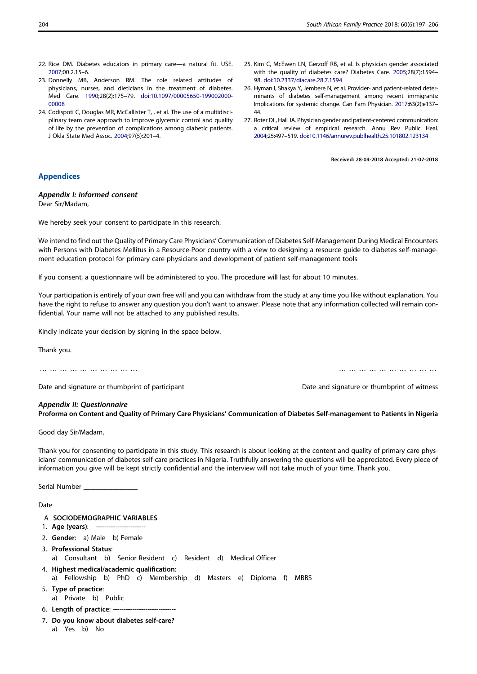- <span id="page-7-0"></span>22. Rice DM. Diabetes educators in primary care—a natural fit. USE. [2007;](#page-5-0)00.2.15–6.
- 23. Donnelly MB, Anderson RM. The role related attitudes of physicians, nurses, and dieticians in the treatment of diabetes. Med Care. [1990;](#page-5-0)28(2):175–79. [doi:10.1097/00005650-199002000-](https://doi.org/10.1097/00005650-199002000-00008) [00008](https://doi.org/10.1097/00005650-199002000-00008)
- 24. Codispoti C, Douglas MR, McCallister T, , et al. The use of a multidisciplinary team care approach to improve glycemic control and quality of life by the prevention of complications among diabetic patients. J Okla State Med Assoc. [2004;](#page-5-0)97(5):201–4.
- 25. Kim C, McEwen LN, Gerzoff RB, et al. Is physician gender associated with the quality of diabetes care? Diabetes Care. [2005;](#page-5-0)28(7):1594– 98. [doi:10.2337/diacare.28.7.1594](https://doi.org/10.2337/diacare.28.7.1594)
- 26. Hyman I, Shakya Y, Jembere N, et al. Provider- and patient-related determinants of diabetes self-management among recent immigrants: Implications for systemic change. Can Fam Physician. [2017;](#page-5-0)63(2):e137– 44.
- 27. Roter DL, Hall JA. Physician gender and patient-centered communication: a critical review of empirical research. Annu Rev Public Heal. [2004;](#page-5-0)25:497–519. [doi:10.1146/annurev.publhealth.25.101802.123134](https://doi.org/10.1146/annurev.publhealth.25.101802.123134)

Received: 28-04-2018 Accepted: 21-07-2018

# Appendices

#### Appendix I: Informed consent

Dear Sir/Madam,

We hereby seek your consent to participate in this research.

We intend to find out the Quality of Primary Care Physicians' Communication of Diabetes Self-Management During Medical Encounters with Persons with Diabetes Mellitus in a Resource-Poor country with a view to designing a resource guide to diabetes self-management education protocol for primary care physicians and development of patient self-management tools

If you consent, a questionnaire will be administered to you. The procedure will last for about 10 minutes.

Your participation is entirely of your own free will and you can withdraw from the study at any time you like without explanation. You have the right to refuse to answer any question you don't want to answer. Please note that any information collected will remain confidential. Your name will not be attached to any published results.

Kindly indicate your decision by signing in the space below.

Thank you.

………………………… …………………………

Date and signature or thumbprint of participant Date and signature or thumbprint of witness

#### Appendix II: Questionnaire

Proforma on Content and Quality of Primary Care Physicians' Communication of Diabetes Self-management to Patients in Nigeria

Good day Sir/Madam,

Thank you for consenting to participate in this study. This research is about looking at the content and quality of primary care physicians' communication of diabetes self-care practices in Nigeria. Truthfully answering the questions will be appreciated. Every piece of information you give will be kept strictly confidential and the interview will not take much of your time. Thank you.

Serial Number

Date

- A SOCIODEMOGRAPHIC VARIABLES
- 1. Age (years): ------------------------
- 2. Gender: a) Male b) Female
- 3. Professional Status: a) Consultant b) Senior Resident c) Resident d) Medical Officer
- 4. Highest medical/academic qualification: a) Fellowship b) PhD c) Membership d) Masters e) Diploma f) MBBS
- 5. Type of practice:
- a) Private b) Public
- 6. Length of practice: -----------------------------
- 7. Do you know about diabetes self-care?
	- a) Yes b) No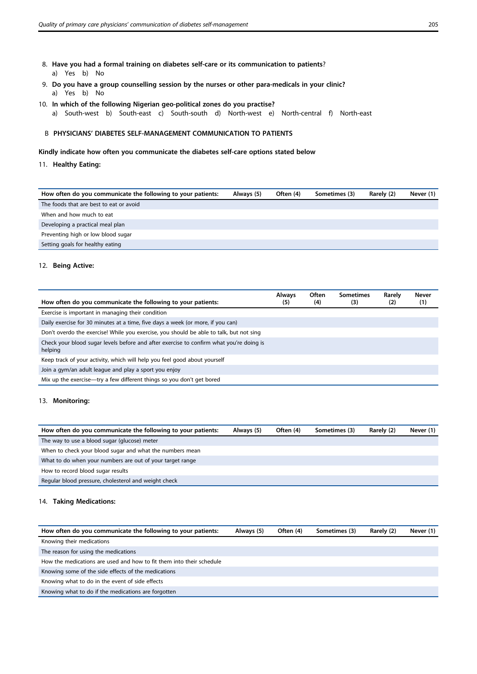- 8. Have you had a formal training on diabetes self-care or its communication to patients? a) Yes b) No
- 9. Do you have a group counselling session by the nurses or other para-medicals in your clinic? a) Yes b) No
- 10. In which of the following Nigerian geo-political zones do you practise? a) South-west b) South-east c) South-south d) North-west e) North-central f) North-east

# B PHYSICIANS' DIABETES SELF-MANAGEMENT COMMUNICATION TO PATIENTS

Kindly indicate how often you communicate the diabetes self-care options stated below

# 11. Healthy Eating:

| How often do you communicate the following to your patients: | Always (5) | Often (4) | Sometimes (3) | Rarely (2) | Never (1) |
|--------------------------------------------------------------|------------|-----------|---------------|------------|-----------|
| The foods that are best to eat or avoid                      |            |           |               |            |           |
| When and how much to eat                                     |            |           |               |            |           |
| Developing a practical meal plan                             |            |           |               |            |           |
| Preventing high or low blood sugar                           |            |           |               |            |           |
| Setting goals for healthy eating                             |            |           |               |            |           |

# 12. Being Active:

| How often do you communicate the following to your patients:                                       | <b>Always</b><br>(5) | Often<br>(4) | <b>Sometimes</b><br>(3) | Rarely<br>(2) | Never<br>(1) |
|----------------------------------------------------------------------------------------------------|----------------------|--------------|-------------------------|---------------|--------------|
| Exercise is important in managing their condition                                                  |                      |              |                         |               |              |
| Daily exercise for 30 minutes at a time, five days a week (or more, if you can)                    |                      |              |                         |               |              |
| Don't overdo the exercise! While you exercise, you should be able to talk, but not sing            |                      |              |                         |               |              |
| Check your blood sugar levels before and after exercise to confirm what you're doing is<br>helping |                      |              |                         |               |              |
| Keep track of your activity, which will help you feel good about yourself                          |                      |              |                         |               |              |
| Join a gym/an adult league and play a sport you enjoy                                              |                      |              |                         |               |              |
| Mix up the exercise—try a few different things so you don't get bored                              |                      |              |                         |               |              |

# 13. Monitoring:

| How often do you communicate the following to your patients: | Always (5) | Often (4) | Sometimes (3) | Rarely (2) | Never (1) |
|--------------------------------------------------------------|------------|-----------|---------------|------------|-----------|
| The way to use a blood sugar (glucose) meter                 |            |           |               |            |           |
| When to check your blood sugar and what the numbers mean     |            |           |               |            |           |
| What to do when your numbers are out of your target range    |            |           |               |            |           |
| How to record blood sugar results                            |            |           |               |            |           |
| Regular blood pressure, cholesterol and weight check         |            |           |               |            |           |

# 14. Taking Medications:

| How often do you communicate the following to your patients:         | Always (5) | Often (4) | Sometimes (3) | Rarely (2) | Never (1) |
|----------------------------------------------------------------------|------------|-----------|---------------|------------|-----------|
| Knowing their medications                                            |            |           |               |            |           |
| The reason for using the medications                                 |            |           |               |            |           |
| How the medications are used and how to fit them into their schedule |            |           |               |            |           |
| Knowing some of the side effects of the medications                  |            |           |               |            |           |
| Knowing what to do in the event of side effects                      |            |           |               |            |           |
| Knowing what to do if the medications are forgotten                  |            |           |               |            |           |